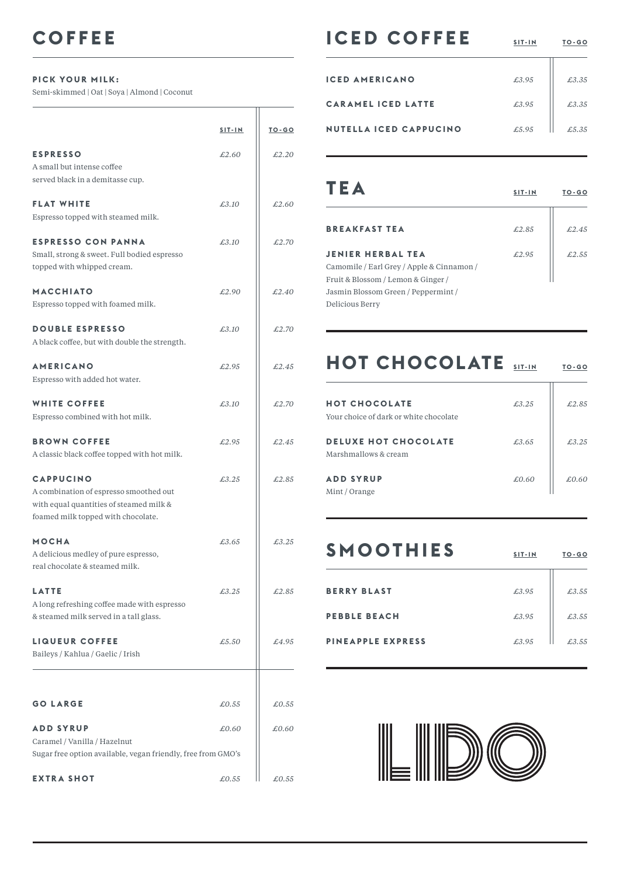## **PICK YOUR MILK:**

Semi-skimmed | Oat | Soya | Almond | Coconut

|                                                                                                                                             | $SIT-IN$ | <b>TO-GO</b> |
|---------------------------------------------------------------------------------------------------------------------------------------------|----------|--------------|
| <b>ESPRESSO</b><br>A small but intense coffee<br>served black in a demitasse cup.                                                           | £2.60    | £2.20        |
| <b>FLAT WHITE</b><br>Espresso topped with steamed milk.                                                                                     | £3.10    | £2.60        |
| <b>ESPRESSO CON PANNA</b><br>Small, strong & sweet. Full bodied espresso<br>topped with whipped cream.                                      | £3.10    | £2.70        |
| <b>MACCHIATO</b><br>Espresso topped with foamed milk.                                                                                       | £2.90    | £2.40        |
| <b>DOUBLE ESPRESSO</b><br>A black coffee, but with double the strength.                                                                     | £3.10    | £2.70        |
| <b>AMERICANO</b><br>Espresso with added hot water.                                                                                          | £2.95    | £2.45        |
| <b>WHITE COFFEE</b><br>Espresso combined with hot milk.                                                                                     | £3.10    | £2.70        |
| <b>BROWN COFFEE</b><br>A classic black coffee topped with hot milk.                                                                         | £2.95    | £2.45        |
| <b>CAPPUCINO</b><br>A combination of espresso smoothed out<br>with equal quantities of steamed milk &<br>foamed milk topped with chocolate. | £3.25    | £2.85        |
| <b>MOCHA</b><br>A delicious medley of pure espresso,<br>real chocolate & steamed milk.                                                      | £3.65    | £3.25        |
| <b>LATTE</b><br>A long refreshing coffee made with espresso<br>& steamed milk served in a tall glass.                                       | £3.25    | £2.85        |
| <b>LIQUEUR COFFEE</b><br>Baileys / Kahlua / Gaelic / Irish                                                                                  | £5.50    | £4.95        |
| <b>GO LARGE</b>                                                                                                                             | £0.55    | £0.55        |
| <b>ADD SYRUP</b><br>Caramel / Vanilla / Hazelnut                                                                                            | £0.60    | £0.60        |
| Sugar free option available, vegan friendly, free from GMO's<br><b>EXTRA SHOT</b>                                                           | £0.55    | £0.55        |

## **ICED COFFEE**  $\frac{517-1N}{50-60}$

 $\overline{\mathbf{u}}$ 

| <b>ICED AMERICANO</b>         | £3.95 | £3.35 |
|-------------------------------|-------|-------|
| <b>CARAMEL ICED LATTE</b>     | £3.95 | £3.35 |
| <b>NUTELLA ICED CAPPUCINO</b> | £5.95 | £5.35 |

| TEA                                                                   | $SIT-IN$ | $TO-GO$ |
|-----------------------------------------------------------------------|----------|---------|
| <b>BREAKFAST TEA</b>                                                  | £2.85    | f.2.45  |
| <b>JENIER HERBAL TEA</b><br>Camomile / Earl Grey / Apple & Cinnamon / | £2.95    | £2.55   |
| Fruit & Blossom / Lemon & Ginger /                                    |          |         |
| Jasmin Blossom Green / Peppermint /<br>Delicious Berry                |          |         |

## **HOT CHOCOLATE** SIT-IN TO-GO

| <b>HOT CHOCOLATE</b><br>Your choice of dark or white chocolate | £3.25 | £2.85  |
|----------------------------------------------------------------|-------|--------|
| <b>DELUXE HOT CHOCOLATE</b><br>Marshmallows & cream            | £3.65 | £3,2.5 |
| <b>ADD SYRUP</b><br>Mint / Orange                              | £0.60 | £0.60  |

| <b>SMOOTHIES</b>         | SIT-IN | TO-GO |
|--------------------------|--------|-------|
| <b>BERRY BLAST</b>       | £3.95  | £3.55 |
| <b>PEBBLE BEACH</b>      | £3.95  | £3.55 |
| <b>PINEAPPLE EXPRESS</b> | £3.95  | £3.55 |



 $\overline{\mathbf{u}}$